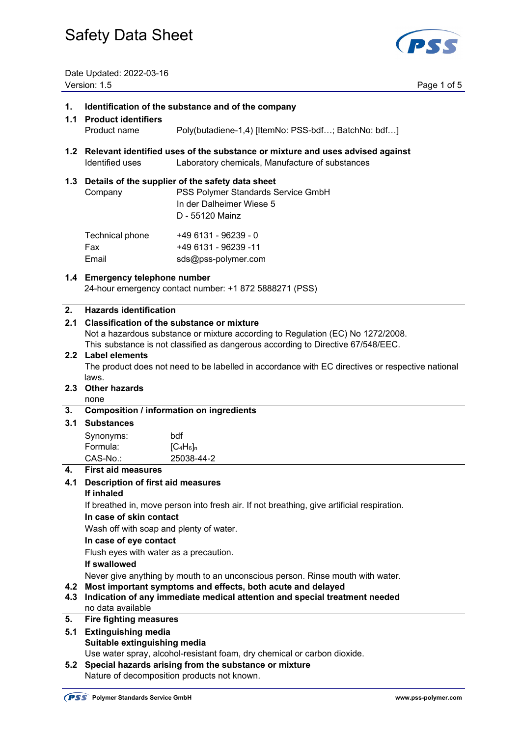

Date Updated: 2022-03-16 Version: 1.5 Page 1 of 5

#### **1. Identification of the substance and of the company**

- **1.1 Product identifiers**  Product name Poly(butadiene-1,4) [ItemNo: PSS-bdf…; BatchNo: bdf…]
- **1.2 Relevant identified uses of the substance or mixture and uses advised against**  Identified uses Laboratory chemicals, Manufacture of substances

#### **1.3 Details of the supplier of the safety data sheet**

 Company PSS Polymer Standards Service GmbH In der Dalheimer Wiese 5 D - 55120 Mainz  $T_{\text{c}}$  -  $\frac{1}{2}$  -  $\frac{1}{2}$   $\frac{1}{2}$   $\frac{1}{2}$   $\frac{1}{2}$   $\frac{1}{2}$   $\frac{1}{2}$   $\frac{1}{2}$   $\frac{1}{2}$   $\frac{1}{2}$   $\frac{1}{2}$   $\frac{1}{2}$   $\frac{1}{2}$   $\frac{1}{2}$   $\frac{1}{2}$   $\frac{1}{2}$   $\frac{1}{2}$   $\frac{1}{2}$   $\frac{1}{2}$   $\frac{1}{2}$   $\frac{1}{2$ 

| Technical phone | +49 6131 - 96239 - 0 |
|-----------------|----------------------|
| Fax             | +49 6131 - 96239 -11 |
| Email           | sds@pss-polymer.com  |

#### **1.4 Emergency telephone number**

24-hour emergency contact number: +1 872 5888271 (PSS)

#### **2. Hazards identification**

### **2.1 Classification of the substance or mixture**

Not a hazardous substance or mixture according to Regulation (EC) No 1272/2008.

This substance is not classified as dangerous according to Directive 67/548/EEC.

#### **2.2 Label elements**

 The product does not need to be labelled in accordance with EC directives or respective national laws.

### **2.3 Other hazards**

none

#### **3. Composition / information on ingredients**

#### **3.1 Substances**

| Synonyms: | bdf          |
|-----------|--------------|
| Formula:  | $[C_4H_6]_n$ |
| CAS-No.:  | 25038-44-2   |

#### **4. First aid measures**

### **4.1 Description of first aid measures**

## **If inhaled**

If breathed in, move person into fresh air. If not breathing, give artificial respiration.

#### **In case of skin contact**

Wash off with soap and plenty of water.

#### **In case of eye contact**

Flush eyes with water as a precaution.

#### **If swallowed**

Never give anything by mouth to an unconscious person. Rinse mouth with water.

#### **4.2 Most important symptoms and effects, both acute and delayed**

- **4.3 Indication of any immediate medical attention and special treatment needed**  no data available
- **5. Fire fighting measures**
- **5.1 Extinguishing media Suitable extinguishing media**

Use water spray, alcohol-resistant foam, dry chemical or carbon dioxide.

**5.2 Special hazards arising from the substance or mixture**  Nature of decomposition products not known.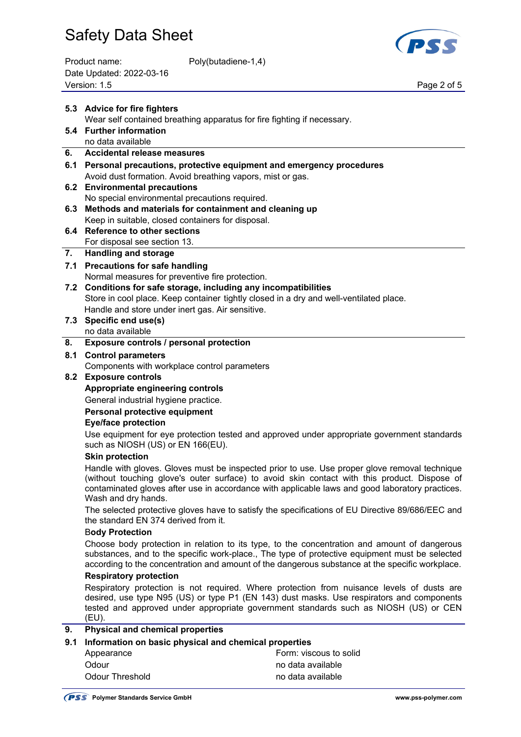| Product name:            | Poly(butadiene-1,4) |
|--------------------------|---------------------|
| Date Updated: 2022-03-16 |                     |
| Version: 1.5             |                     |



Page 2 of 5

|     | 5.3 Advice for fire fighters                                                                                                                                                                                                                                                                                                       |                                                                                                                                                                                                                                                                                                  |  |
|-----|------------------------------------------------------------------------------------------------------------------------------------------------------------------------------------------------------------------------------------------------------------------------------------------------------------------------------------|--------------------------------------------------------------------------------------------------------------------------------------------------------------------------------------------------------------------------------------------------------------------------------------------------|--|
|     | Wear self contained breathing apparatus for fire fighting if necessary.                                                                                                                                                                                                                                                            |                                                                                                                                                                                                                                                                                                  |  |
|     | 5.4 Further information                                                                                                                                                                                                                                                                                                            |                                                                                                                                                                                                                                                                                                  |  |
| 6.  | no data available<br><b>Accidental release measures</b>                                                                                                                                                                                                                                                                            |                                                                                                                                                                                                                                                                                                  |  |
| 6.1 | Personal precautions, protective equipment and emergency procedures                                                                                                                                                                                                                                                                |                                                                                                                                                                                                                                                                                                  |  |
|     | Avoid dust formation. Avoid breathing vapors, mist or gas.                                                                                                                                                                                                                                                                         |                                                                                                                                                                                                                                                                                                  |  |
| 6.2 | <b>Environmental precautions</b>                                                                                                                                                                                                                                                                                                   |                                                                                                                                                                                                                                                                                                  |  |
|     | No special environmental precautions required.                                                                                                                                                                                                                                                                                     |                                                                                                                                                                                                                                                                                                  |  |
| 6.3 | Methods and materials for containment and cleaning up                                                                                                                                                                                                                                                                              |                                                                                                                                                                                                                                                                                                  |  |
|     | Keep in suitable, closed containers for disposal.                                                                                                                                                                                                                                                                                  |                                                                                                                                                                                                                                                                                                  |  |
|     | 6.4 Reference to other sections                                                                                                                                                                                                                                                                                                    |                                                                                                                                                                                                                                                                                                  |  |
|     | For disposal see section 13.                                                                                                                                                                                                                                                                                                       |                                                                                                                                                                                                                                                                                                  |  |
| 7.  | <b>Handling and storage</b>                                                                                                                                                                                                                                                                                                        |                                                                                                                                                                                                                                                                                                  |  |
|     | 7.1 Precautions for safe handling                                                                                                                                                                                                                                                                                                  |                                                                                                                                                                                                                                                                                                  |  |
|     | Normal measures for preventive fire protection.                                                                                                                                                                                                                                                                                    |                                                                                                                                                                                                                                                                                                  |  |
|     | 7.2 Conditions for safe storage, including any incompatibilities<br>Store in cool place. Keep container tightly closed in a dry and well-ventilated place.                                                                                                                                                                         |                                                                                                                                                                                                                                                                                                  |  |
|     | Handle and store under inert gas. Air sensitive.                                                                                                                                                                                                                                                                                   |                                                                                                                                                                                                                                                                                                  |  |
| 7.3 | Specific end use(s)                                                                                                                                                                                                                                                                                                                |                                                                                                                                                                                                                                                                                                  |  |
|     | no data available                                                                                                                                                                                                                                                                                                                  |                                                                                                                                                                                                                                                                                                  |  |
| 8.  | Exposure controls / personal protection                                                                                                                                                                                                                                                                                            |                                                                                                                                                                                                                                                                                                  |  |
| 8.1 | <b>Control parameters</b>                                                                                                                                                                                                                                                                                                          |                                                                                                                                                                                                                                                                                                  |  |
|     | Components with workplace control parameters                                                                                                                                                                                                                                                                                       |                                                                                                                                                                                                                                                                                                  |  |
|     | 8.2 Exposure controls                                                                                                                                                                                                                                                                                                              |                                                                                                                                                                                                                                                                                                  |  |
|     | Appropriate engineering controls                                                                                                                                                                                                                                                                                                   |                                                                                                                                                                                                                                                                                                  |  |
|     | General industrial hygiene practice.                                                                                                                                                                                                                                                                                               |                                                                                                                                                                                                                                                                                                  |  |
|     | Personal protective equipment                                                                                                                                                                                                                                                                                                      |                                                                                                                                                                                                                                                                                                  |  |
|     | <b>Eye/face protection</b>                                                                                                                                                                                                                                                                                                         |                                                                                                                                                                                                                                                                                                  |  |
|     | such as NIOSH (US) or EN 166(EU).                                                                                                                                                                                                                                                                                                  | Use equipment for eye protection tested and approved under appropriate government standards                                                                                                                                                                                                      |  |
|     | <b>Skin protection</b>                                                                                                                                                                                                                                                                                                             |                                                                                                                                                                                                                                                                                                  |  |
|     | Wash and dry hands.                                                                                                                                                                                                                                                                                                                | Handle with gloves. Gloves must be inspected prior to use. Use proper glove removal technique<br>(without touching glove's outer surface) to avoid skin contact with this product. Dispose of<br>contaminated gloves after use in accordance with applicable laws and good laboratory practices. |  |
|     | the standard EN 374 derived from it.                                                                                                                                                                                                                                                                                               | The selected protective gloves have to satisfy the specifications of EU Directive 89/686/EEC and                                                                                                                                                                                                 |  |
|     | <b>Body Protection</b>                                                                                                                                                                                                                                                                                                             |                                                                                                                                                                                                                                                                                                  |  |
|     | Choose body protection in relation to its type, to the concentration and amount of dangerous<br>substances, and to the specific work-place., The type of protective equipment must be selected<br>according to the concentration and amount of the dangerous substance at the specific workplace.<br><b>Respiratory protection</b> |                                                                                                                                                                                                                                                                                                  |  |
|     |                                                                                                                                                                                                                                                                                                                                    |                                                                                                                                                                                                                                                                                                  |  |
|     | (EU).                                                                                                                                                                                                                                                                                                                              | Respiratory protection is not required. Where protection from nuisance levels of dusts are<br>desired, use type N95 (US) or type P1 (EN 143) dust masks. Use respirators and components<br>tested and approved under appropriate government standards such as NIOSH (US) or CEN                  |  |
| 9.  | <b>Physical and chemical properties</b>                                                                                                                                                                                                                                                                                            |                                                                                                                                                                                                                                                                                                  |  |
| 9.1 | Information on basic physical and chemical properties                                                                                                                                                                                                                                                                              |                                                                                                                                                                                                                                                                                                  |  |
|     | Appearance                                                                                                                                                                                                                                                                                                                         | Form: viscous to solid                                                                                                                                                                                                                                                                           |  |
|     | Odour                                                                                                                                                                                                                                                                                                                              | no data available                                                                                                                                                                                                                                                                                |  |
|     | <b>Odour Threshold</b>                                                                                                                                                                                                                                                                                                             | no data available                                                                                                                                                                                                                                                                                |  |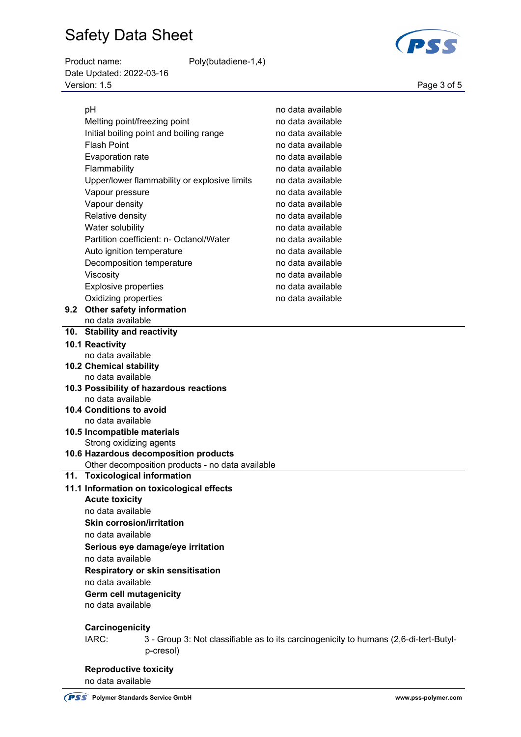Product name: Poly(butadiene-1,4) Date Updated: 2022-03-16 Version: 1.5 Page 3 of 5

**PSS** 

|  | pH                                                                                                                                                | no data available                                                                     |  |
|--|---------------------------------------------------------------------------------------------------------------------------------------------------|---------------------------------------------------------------------------------------|--|
|  | Melting point/freezing point                                                                                                                      | no data available                                                                     |  |
|  | Initial boiling point and boiling range                                                                                                           | no data available                                                                     |  |
|  | <b>Flash Point</b>                                                                                                                                | no data available                                                                     |  |
|  | Evaporation rate                                                                                                                                  | no data available                                                                     |  |
|  | Flammability                                                                                                                                      | no data available                                                                     |  |
|  | Upper/lower flammability or explosive limits                                                                                                      | no data available                                                                     |  |
|  | Vapour pressure                                                                                                                                   | no data available                                                                     |  |
|  |                                                                                                                                                   | no data available                                                                     |  |
|  | Vapour density                                                                                                                                    |                                                                                       |  |
|  | Relative density                                                                                                                                  | no data available                                                                     |  |
|  | Water solubility                                                                                                                                  | no data available                                                                     |  |
|  | Partition coefficient: n- Octanol/Water                                                                                                           | no data available                                                                     |  |
|  | Auto ignition temperature                                                                                                                         | no data available                                                                     |  |
|  | Decomposition temperature                                                                                                                         | no data available                                                                     |  |
|  | Viscosity                                                                                                                                         | no data available                                                                     |  |
|  | <b>Explosive properties</b>                                                                                                                       | no data available                                                                     |  |
|  | Oxidizing properties                                                                                                                              | no data available                                                                     |  |
|  | 9.2 Other safety information                                                                                                                      |                                                                                       |  |
|  | no data available                                                                                                                                 |                                                                                       |  |
|  | 10. Stability and reactivity                                                                                                                      |                                                                                       |  |
|  | 10.1 Reactivity                                                                                                                                   |                                                                                       |  |
|  | no data available                                                                                                                                 |                                                                                       |  |
|  | <b>10.2 Chemical stability</b>                                                                                                                    |                                                                                       |  |
|  | no data available                                                                                                                                 |                                                                                       |  |
|  | 10.3 Possibility of hazardous reactions                                                                                                           |                                                                                       |  |
|  | no data available                                                                                                                                 |                                                                                       |  |
|  | <b>10.4 Conditions to avoid</b>                                                                                                                   |                                                                                       |  |
|  | no data available                                                                                                                                 |                                                                                       |  |
|  | 10.5 Incompatible materials                                                                                                                       |                                                                                       |  |
|  | Strong oxidizing agents                                                                                                                           |                                                                                       |  |
|  | 10.6 Hazardous decomposition products                                                                                                             |                                                                                       |  |
|  | Other decomposition products - no data available                                                                                                  |                                                                                       |  |
|  | 11. Toxicological information                                                                                                                     |                                                                                       |  |
|  | 11.1 Information on toxicological effects                                                                                                         |                                                                                       |  |
|  | <b>Acute toxicity</b>                                                                                                                             |                                                                                       |  |
|  | no data available                                                                                                                                 |                                                                                       |  |
|  | <b>Skin corrosion/irritation</b>                                                                                                                  |                                                                                       |  |
|  | no data available                                                                                                                                 |                                                                                       |  |
|  | Serious eye damage/eye irritation<br>no data available<br>Respiratory or skin sensitisation<br>no data available<br><b>Germ cell mutagenicity</b> |                                                                                       |  |
|  |                                                                                                                                                   |                                                                                       |  |
|  |                                                                                                                                                   |                                                                                       |  |
|  |                                                                                                                                                   |                                                                                       |  |
|  |                                                                                                                                                   |                                                                                       |  |
|  | no data available                                                                                                                                 |                                                                                       |  |
|  | Carcinogenicity                                                                                                                                   |                                                                                       |  |
|  | IARC:                                                                                                                                             | 3 - Group 3: Not classifiable as to its carcinogenicity to humans (2,6-di-tert-Butyl- |  |
|  | p-cresol)                                                                                                                                         |                                                                                       |  |
|  |                                                                                                                                                   |                                                                                       |  |
|  | <b>Reproductive toxicity</b>                                                                                                                      |                                                                                       |  |
|  | no data available                                                                                                                                 |                                                                                       |  |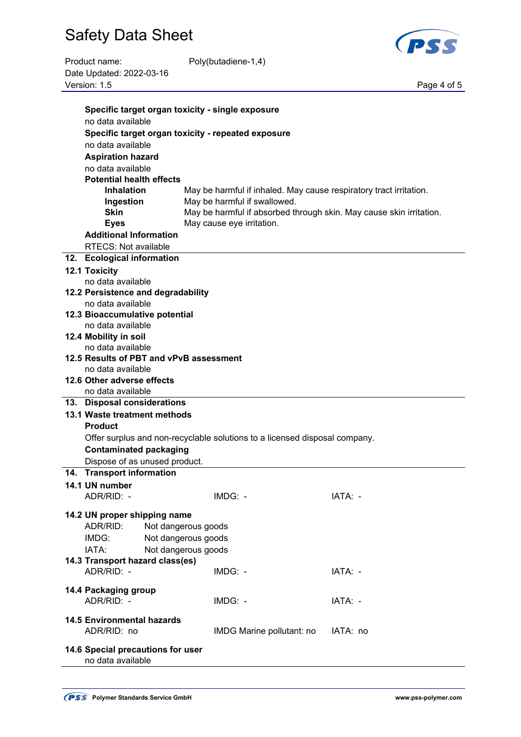

| Product name:            | Poly(butadiene-1,4) |
|--------------------------|---------------------|
| Date Updated: 2022-03-16 |                     |
| Version: 1.5             |                     |

Page 4 of 5

| Specific target organ toxicity - single exposure             |                                            |                                                                            |                                                                     |
|--------------------------------------------------------------|--------------------------------------------|----------------------------------------------------------------------------|---------------------------------------------------------------------|
| no data available                                            |                                            |                                                                            |                                                                     |
|                                                              |                                            | Specific target organ toxicity - repeated exposure                         |                                                                     |
| no data available                                            |                                            |                                                                            |                                                                     |
| <b>Aspiration hazard</b>                                     |                                            |                                                                            |                                                                     |
| no data available                                            |                                            |                                                                            |                                                                     |
| <b>Potential health effects</b>                              |                                            |                                                                            |                                                                     |
| <b>Inhalation</b>                                            |                                            | May be harmful if inhaled. May cause respiratory tract irritation.         |                                                                     |
| Ingestion                                                    |                                            | May be harmful if swallowed.                                               |                                                                     |
| <b>Skin</b>                                                  |                                            |                                                                            | May be harmful if absorbed through skin. May cause skin irritation. |
| <b>Eyes</b>                                                  |                                            | May cause eye irritation.                                                  |                                                                     |
| <b>Additional Information</b>                                |                                            |                                                                            |                                                                     |
| <b>RTECS: Not available</b>                                  |                                            |                                                                            |                                                                     |
| 12. Ecological information                                   |                                            |                                                                            |                                                                     |
| <b>12.1 Toxicity</b>                                         |                                            |                                                                            |                                                                     |
| no data available                                            |                                            |                                                                            |                                                                     |
| 12.2 Persistence and degradability                           |                                            |                                                                            |                                                                     |
| no data available                                            |                                            |                                                                            |                                                                     |
| 12.3 Bioaccumulative potential                               |                                            |                                                                            |                                                                     |
| no data available<br>12.4 Mobility in soil                   |                                            |                                                                            |                                                                     |
| no data available                                            |                                            |                                                                            |                                                                     |
|                                                              |                                            |                                                                            |                                                                     |
| 12.5 Results of PBT and vPvB assessment<br>no data available |                                            |                                                                            |                                                                     |
| 12.6 Other adverse effects                                   |                                            |                                                                            |                                                                     |
| no data available                                            |                                            |                                                                            |                                                                     |
| 13. Disposal considerations                                  |                                            |                                                                            |                                                                     |
| 13.1 Waste treatment methods                                 |                                            |                                                                            |                                                                     |
| <b>Product</b>                                               |                                            |                                                                            |                                                                     |
|                                                              |                                            | Offer surplus and non-recyclable solutions to a licensed disposal company. |                                                                     |
| <b>Contaminated packaging</b>                                |                                            |                                                                            |                                                                     |
| Dispose of as unused product.                                |                                            |                                                                            |                                                                     |
| 14. Transport information                                    |                                            |                                                                            |                                                                     |
| 14.1 UN number                                               |                                            |                                                                            |                                                                     |
| ADR/RID: -                                                   |                                            | IMDG: -                                                                    | IATA:                                                               |
|                                                              |                                            |                                                                            |                                                                     |
| 14.2 UN proper shipping name<br>ADR/RID:                     |                                            |                                                                            |                                                                     |
| IMDG:                                                        | Not dangerous goods<br>Not dangerous goods |                                                                            |                                                                     |
| IATA:                                                        |                                            |                                                                            |                                                                     |
| 14.3 Transport hazard class(es)                              | Not dangerous goods                        |                                                                            |                                                                     |
| ADR/RID: -                                                   |                                            | IMDG: -                                                                    | IATA: -                                                             |
|                                                              |                                            |                                                                            |                                                                     |
| 14.4 Packaging group                                         |                                            |                                                                            |                                                                     |
| ADR/RID: -                                                   |                                            | IMDG: -                                                                    | IATA: -                                                             |
|                                                              |                                            |                                                                            |                                                                     |
| <b>14.5 Environmental hazards</b><br>ADR/RID: no             |                                            | IMDG Marine pollutant: no                                                  | IATA: no                                                            |
|                                                              |                                            |                                                                            |                                                                     |
| 14.6 Special precautions for user<br>no data available       |                                            |                                                                            |                                                                     |